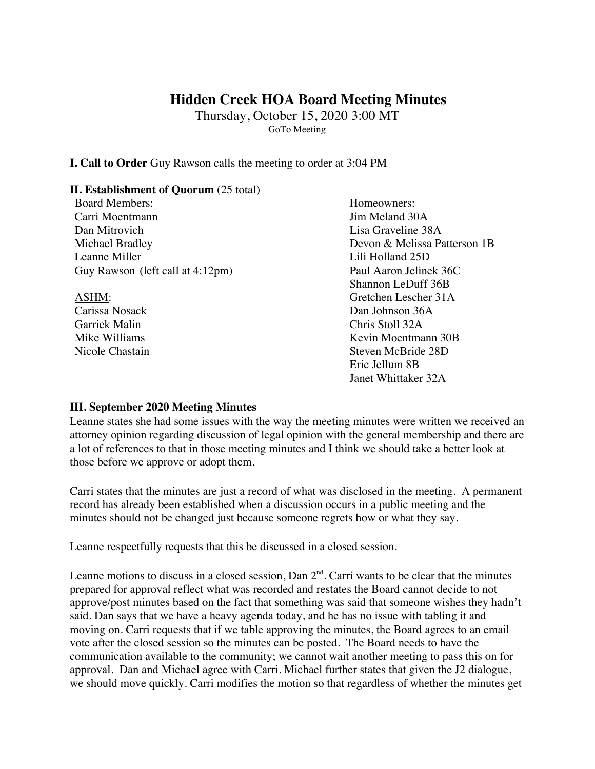# **Hidden Creek HOA Board Meeting Minutes**

Thursday, October 15, 2020 3:00 MT GoTo Meeting

**I. Call to Order** Guy Rawson calls the meeting to order at 3:04 PM

### **II. Establishment of Quorum** (25 total)

Board Members: Homeowners: Carri Moentmann Jim Meland 30A Dan Mitrovich Lisa Graveline 38A Michael Bradley Devon & Melissa Patterson 1B Leanne Miller Leanne Miller Guy Rawson (left call at 4:12pm) Paul Aaron Jelinek 36C

Garrick Malin Chris Stoll 32A

Shannon LeDuff 36B ASHM: Gretchen Lescher 31A Carissa Nosack Dan Johnson 36A Mike Williams **Kevin Moentmann** 30B Nicole Chastain Steven McBride 28D Eric Jellum 8B Janet Whittaker 32A

### **III. September 2020 Meeting Minutes**

Leanne states she had some issues with the way the meeting minutes were written we received an attorney opinion regarding discussion of legal opinion with the general membership and there are a lot of references to that in those meeting minutes and I think we should take a better look at those before we approve or adopt them.

Carri states that the minutes are just a record of what was disclosed in the meeting. A permanent record has already been established when a discussion occurs in a public meeting and the minutes should not be changed just because someone regrets how or what they say.

Leanne respectfully requests that this be discussed in a closed session.

Leanne motions to discuss in a closed session, Dan  $2<sup>nd</sup>$ . Carri wants to be clear that the minutes prepared for approval reflect what was recorded and restates the Board cannot decide to not approve/post minutes based on the fact that something was said that someone wishes they hadn't said. Dan says that we have a heavy agenda today, and he has no issue with tabling it and moving on. Carri requests that if we table approving the minutes, the Board agrees to an email vote after the closed session so the minutes can be posted. The Board needs to have the communication available to the community; we cannot wait another meeting to pass this on for approval. Dan and Michael agree with Carri. Michael further states that given the J2 dialogue, we should move quickly. Carri modifies the motion so that regardless of whether the minutes get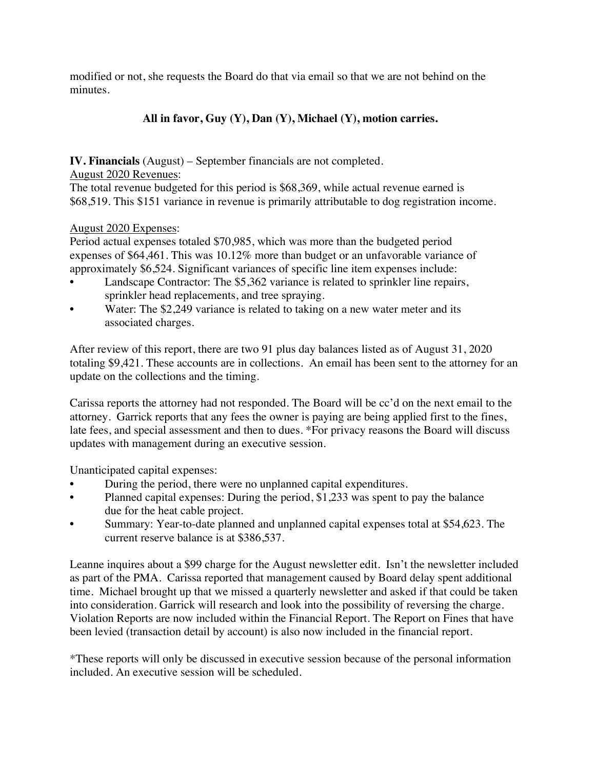modified or not, she requests the Board do that via email so that we are not behind on the minutes.

# **All in favor, Guy (Y), Dan (Y), Michael (Y), motion carries.**

**IV. Financials** (August) – September financials are not completed.

August 2020 Revenues:

The total revenue budgeted for this period is \$68,369, while actual revenue earned is \$68,519. This \$151 variance in revenue is primarily attributable to dog registration income.

## August 2020 Expenses:

Period actual expenses totaled \$70,985, which was more than the budgeted period expenses of \$64,461. This was 10.12% more than budget or an unfavorable variance of approximately \$6,524. Significant variances of specific line item expenses include:

- Landscape Contractor: The \$5,362 variance is related to sprinkler line repairs, sprinkler head replacements, and tree spraying.
- Water: The \$2,249 variance is related to taking on a new water meter and its associated charges.

After review of this report, there are two 91 plus day balances listed as of August 31, 2020 totaling \$9,421. These accounts are in collections. An email has been sent to the attorney for an update on the collections and the timing.

Carissa reports the attorney had not responded. The Board will be cc'd on the next email to the attorney. Garrick reports that any fees the owner is paying are being applied first to the fines, late fees, and special assessment and then to dues. \*For privacy reasons the Board will discuss updates with management during an executive session.

Unanticipated capital expenses:

- During the period, there were no unplanned capital expenditures.
- Planned capital expenses: During the period, \$1,233 was spent to pay the balance due for the heat cable project.
- Summary: Year-to-date planned and unplanned capital expenses total at \$54,623. The current reserve balance is at \$386,537.

Leanne inquires about a \$99 charge for the August newsletter edit. Isn't the newsletter included as part of the PMA. Carissa reported that management caused by Board delay spent additional time. Michael brought up that we missed a quarterly newsletter and asked if that could be taken into consideration. Garrick will research and look into the possibility of reversing the charge. Violation Reports are now included within the Financial Report. The Report on Fines that have been levied (transaction detail by account) is also now included in the financial report.

\*These reports will only be discussed in executive session because of the personal information included. An executive session will be scheduled.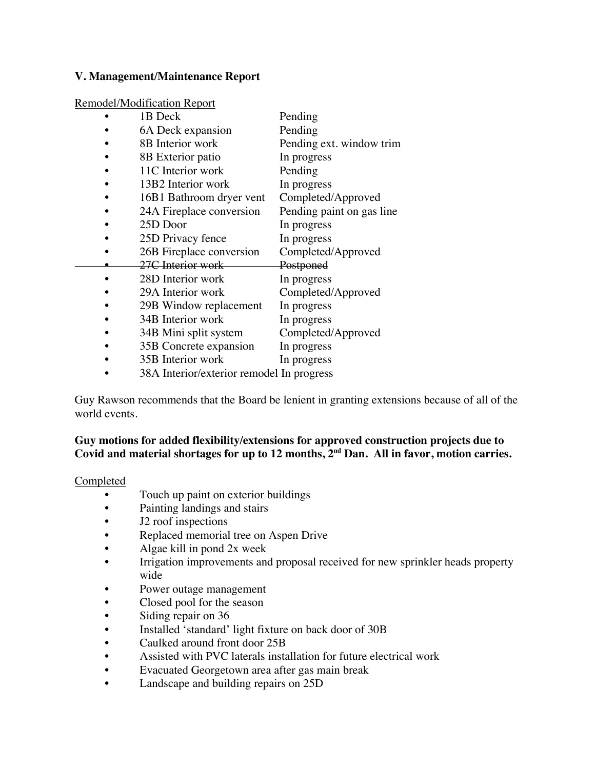### **V. Management/Maintenance Report**

#### Remodel/Modification Report

| 1B Deck                                   | Pending                   |
|-------------------------------------------|---------------------------|
| 6A Deck expansion                         | Pending                   |
| 8B Interior work                          | Pending ext. window trim  |
| 8B Exterior patio                         | In progress               |
| 11C Interior work                         | Pending                   |
| 13B2 Interior work                        | In progress               |
| 16B1 Bathroom dryer vent                  | Completed/Approved        |
| 24A Fireplace conversion                  | Pending paint on gas line |
| 25D Door                                  | In progress               |
| 25D Privacy fence                         | In progress               |
| 26B Fireplace conversion                  | Completed/Approved        |
| 27C Interior work                         | Postponed                 |
| 28D Interior work                         | In progress               |
| 29A Interior work                         | Completed/Approved        |
| 29B Window replacement                    | In progress               |
| 34B Interior work                         | In progress               |
| 34B Mini split system                     | Completed/Approved        |
| 35B Concrete expansion                    | In progress               |
| 35B Interior work                         | In progress               |
| 38A Interior/exterior remodel In progress |                           |

Guy Rawson recommends that the Board be lenient in granting extensions because of all of the world events.

## **Guy motions for added flexibility/extensions for approved construction projects due to Covid and material shortages for up to 12 months, 2nd Dan. All in favor, motion carries.**

#### Completed

- Touch up paint on exterior buildings
- Painting landings and stairs
- J2 roof inspections
- Replaced memorial tree on Aspen Drive
- Algae kill in pond 2x week
- Irrigation improvements and proposal received for new sprinkler heads property wide
- Power outage management
- Closed pool for the season
- Siding repair on 36
- Installed 'standard' light fixture on back door of 30B
- Caulked around front door 25B
- Assisted with PVC laterals installation for future electrical work
- Evacuated Georgetown area after gas main break
- Landscape and building repairs on 25D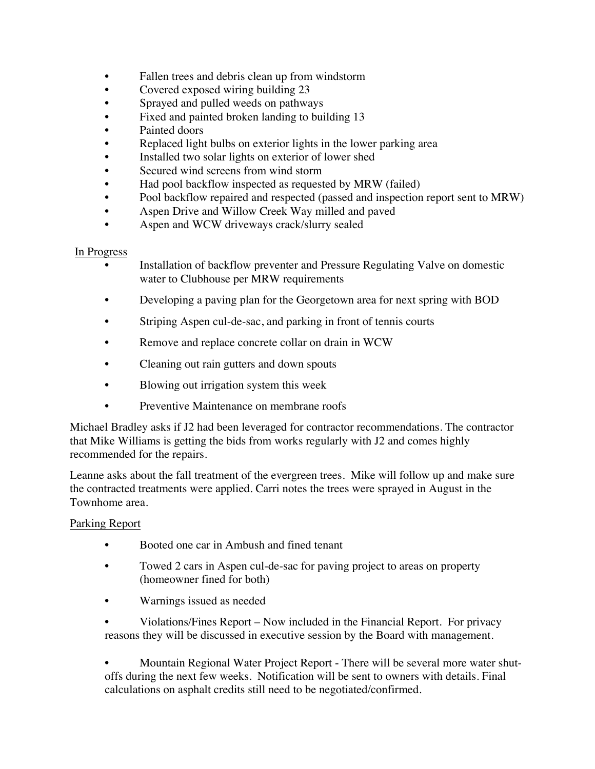- Fallen trees and debris clean up from windstorm
- Covered exposed wiring building 23
- Sprayed and pulled weeds on pathways
- Fixed and painted broken landing to building 13
- Painted doors
- Replaced light bulbs on exterior lights in the lower parking area
- Installed two solar lights on exterior of lower shed
- Secured wind screens from wind storm
- Had pool backflow inspected as requested by MRW (failed)
- Pool backflow repaired and respected (passed and inspection report sent to MRW)
- Aspen Drive and Willow Creek Way milled and paved
- Aspen and WCW driveways crack/slurry sealed

## In Progress

- Installation of backflow preventer and Pressure Regulating Valve on domestic water to Clubhouse per MRW requirements
- Developing a paving plan for the Georgetown area for next spring with BOD
- Striping Aspen cul-de-sac, and parking in front of tennis courts
- Remove and replace concrete collar on drain in WCW
- Cleaning out rain gutters and down spouts
- Blowing out irrigation system this week
- Preventive Maintenance on membrane roofs

Michael Bradley asks if J2 had been leveraged for contractor recommendations. The contractor that Mike Williams is getting the bids from works regularly with J2 and comes highly recommended for the repairs.

Leanne asks about the fall treatment of the evergreen trees. Mike will follow up and make sure the contracted treatments were applied. Carri notes the trees were sprayed in August in the Townhome area.

## Parking Report

- Booted one car in Ambush and fined tenant
- Towed 2 cars in Aspen cul-de-sac for paving project to areas on property (homeowner fined for both)
- Warnings issued as needed

• Violations/Fines Report – Now included in the Financial Report. For privacy reasons they will be discussed in executive session by the Board with management.

• Mountain Regional Water Project Report - There will be several more water shutoffs during the next few weeks. Notification will be sent to owners with details. Final calculations on asphalt credits still need to be negotiated/confirmed.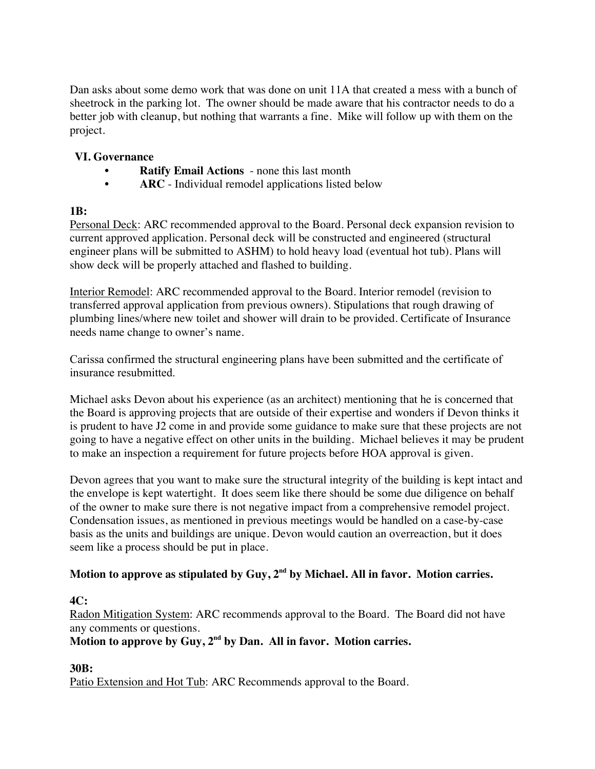Dan asks about some demo work that was done on unit 11A that created a mess with a bunch of sheetrock in the parking lot. The owner should be made aware that his contractor needs to do a better job with cleanup, but nothing that warrants a fine. Mike will follow up with them on the project.

## **VI. Governance**

- **Ratify Email Actions** none this last month
- **ARC** Individual remodel applications listed below

## **1B:**

Personal Deck: ARC recommended approval to the Board. Personal deck expansion revision to current approved application. Personal deck will be constructed and engineered (structural engineer plans will be submitted to ASHM) to hold heavy load (eventual hot tub). Plans will show deck will be properly attached and flashed to building.

Interior Remodel: ARC recommended approval to the Board. Interior remodel (revision to transferred approval application from previous owners). Stipulations that rough drawing of plumbing lines/where new toilet and shower will drain to be provided. Certificate of Insurance needs name change to owner's name.

Carissa confirmed the structural engineering plans have been submitted and the certificate of insurance resubmitted.

Michael asks Devon about his experience (as an architect) mentioning that he is concerned that the Board is approving projects that are outside of their expertise and wonders if Devon thinks it is prudent to have J2 come in and provide some guidance to make sure that these projects are not going to have a negative effect on other units in the building. Michael believes it may be prudent to make an inspection a requirement for future projects before HOA approval is given.

Devon agrees that you want to make sure the structural integrity of the building is kept intact and the envelope is kept watertight. It does seem like there should be some due diligence on behalf of the owner to make sure there is not negative impact from a comprehensive remodel project. Condensation issues, as mentioned in previous meetings would be handled on a case-by-case basis as the units and buildings are unique. Devon would caution an overreaction, but it does seem like a process should be put in place.

# Motion to approve as stipulated by Guy, 2<sup>nd</sup> by Michael. All in favor. Motion carries.

## **4C:**

Radon Mitigation System: ARC recommends approval to the Board. The Board did not have any comments or questions.

**Motion to approve by Guy, 2nd by Dan. All in favor. Motion carries.**

# **30B:**

Patio Extension and Hot Tub: ARC Recommends approval to the Board.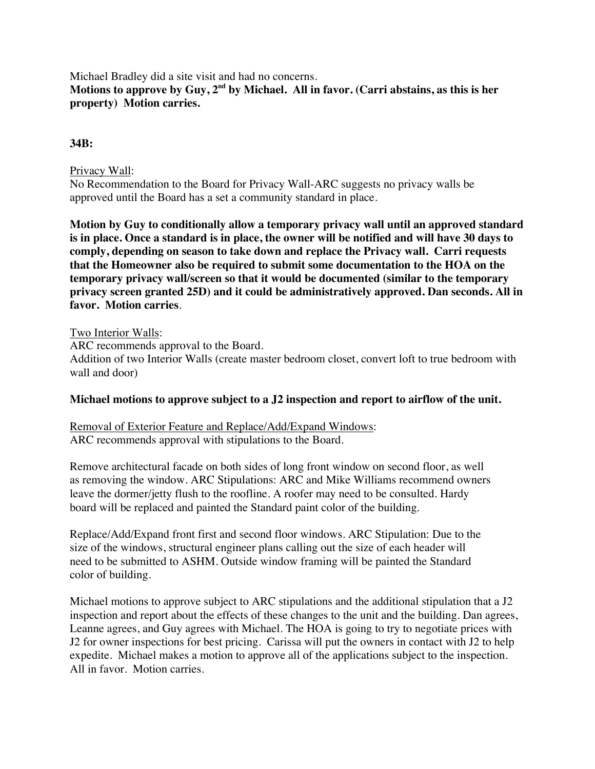Michael Bradley did a site visit and had no concerns. **Motions to approve by Guy, 2nd by Michael. All in favor. (Carri abstains, as this is her property) Motion carries.**

### **34B:**

### Privacy Wall:

No Recommendation to the Board for Privacy Wall-ARC suggests no privacy walls be approved until the Board has a set a community standard in place.

**Motion by Guy to conditionally allow a temporary privacy wall until an approved standard is in place. Once a standard is in place, the owner will be notified and will have 30 days to comply, depending on season to take down and replace the Privacy wall. Carri requests that the Homeowner also be required to submit some documentation to the HOA on the temporary privacy wall/screen so that it would be documented (similar to the temporary privacy screen granted 25D) and it could be administratively approved. Dan seconds. All in favor. Motion carries**.

### Two Interior Walls:

ARC recommends approval to the Board. Addition of two Interior Walls (create master bedroom closet, convert loft to true bedroom with wall and door)

### **Michael motions to approve subject to a J2 inspection and report to airflow of the unit.**

Removal of Exterior Feature and Replace/Add/Expand Windows: ARC recommends approval with stipulations to the Board.

Remove architectural facade on both sides of long front window on second floor, as well as removing the window. ARC Stipulations: ARC and Mike Williams recommend owners leave the dormer/jetty flush to the roofline. A roofer may need to be consulted. Hardy board will be replaced and painted the Standard paint color of the building.

Replace/Add/Expand front first and second floor windows. ARC Stipulation: Due to the size of the windows, structural engineer plans calling out the size of each header will need to be submitted to ASHM. Outside window framing will be painted the Standard color of building.

Michael motions to approve subject to ARC stipulations and the additional stipulation that a J2 inspection and report about the effects of these changes to the unit and the building. Dan agrees, Leanne agrees, and Guy agrees with Michael. The HOA is going to try to negotiate prices with J2 for owner inspections for best pricing. Carissa will put the owners in contact with J2 to help expedite. Michael makes a motion to approve all of the applications subject to the inspection. All in favor. Motion carries.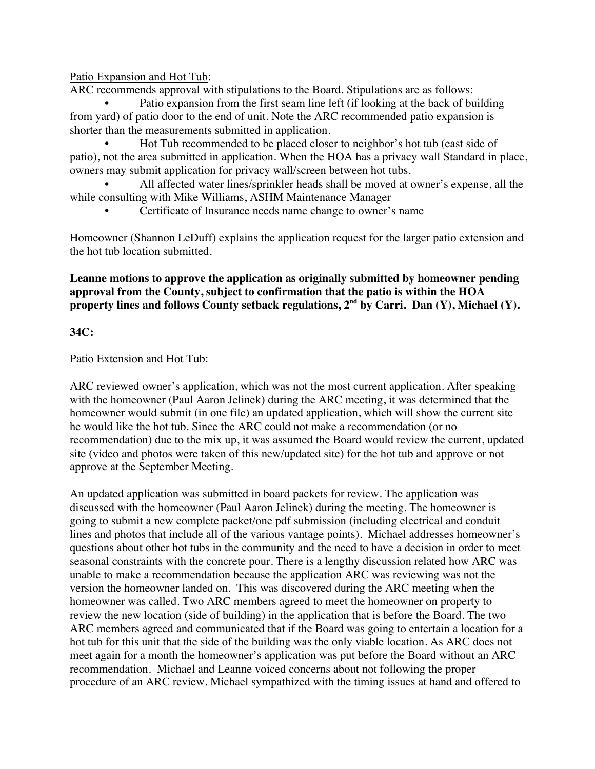Patio Expansion and Hot Tub:

ARC recommends approval with stipulations to the Board. Stipulations are as follows:

Patio expansion from the first seam line left (if looking at the back of building from yard) of patio door to the end of unit. Note the ARC recommended patio expansion is shorter than the measurements submitted in application.

• Hot Tub recommended to be placed closer to neighbor's hot tub (east side of patio), not the area submitted in application. When the HOA has a privacy wall Standard in place, owners may submit application for privacy wall/screen between hot tubs.

• All affected water lines/sprinkler heads shall be moved at owner's expense, all the while consulting with Mike Williams, ASHM Maintenance Manager

• Certificate of Insurance needs name change to owner's name

Homeowner (Shannon LeDuff) explains the application request for the larger patio extension and the hot tub location submitted.

### **Leanne motions to approve the application as originally submitted by homeowner pending approval from the County, subject to confirmation that the patio is within the HOA property lines and follows County setback regulations, 2nd by Carri. Dan (Y), Michael (Y).**

### **34C:**

### Patio Extension and Hot Tub:

ARC reviewed owner's application, which was not the most current application. After speaking with the homeowner (Paul Aaron Jelinek) during the ARC meeting, it was determined that the homeowner would submit (in one file) an updated application, which will show the current site he would like the hot tub. Since the ARC could not make a recommendation (or no recommendation) due to the mix up, it was assumed the Board would review the current, updated site (video and photos were taken of this new/updated site) for the hot tub and approve or not approve at the September Meeting.

An updated application was submitted in board packets for review. The application was discussed with the homeowner (Paul Aaron Jelinek) during the meeting. The homeowner is going to submit a new complete packet/one pdf submission (including electrical and conduit lines and photos that include all of the various vantage points). Michael addresses homeowner's questions about other hot tubs in the community and the need to have a decision in order to meet seasonal constraints with the concrete pour. There is a lengthy discussion related how ARC was unable to make a recommendation because the application ARC was reviewing was not the version the homeowner landed on. This was discovered during the ARC meeting when the homeowner was called. Two ARC members agreed to meet the homeowner on property to review the new location (side of building) in the application that is before the Board. The two ARC members agreed and communicated that if the Board was going to entertain a location for a hot tub for this unit that the side of the building was the only viable location. As ARC does not meet again for a month the homeowner's application was put before the Board without an ARC recommendation. Michael and Leanne voiced concerns about not following the proper procedure of an ARC review. Michael sympathized with the timing issues at hand and offered to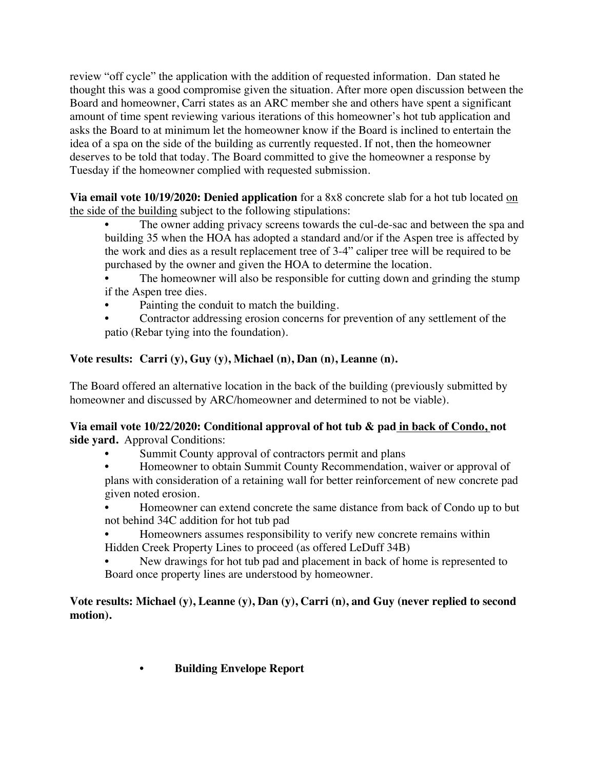review "off cycle" the application with the addition of requested information. Dan stated he thought this was a good compromise given the situation. After more open discussion between the Board and homeowner, Carri states as an ARC member she and others have spent a significant amount of time spent reviewing various iterations of this homeowner's hot tub application and asks the Board to at minimum let the homeowner know if the Board is inclined to entertain the idea of a spa on the side of the building as currently requested. If not, then the homeowner deserves to be told that today. The Board committed to give the homeowner a response by Tuesday if the homeowner complied with requested submission.

**Via email vote 10/19/2020: Denied application** for a 8x8 concrete slab for a hot tub located on the side of the building subject to the following stipulations:

- The owner adding privacy screens towards the cul-de-sac and between the spa and building 35 when the HOA has adopted a standard and/or if the Aspen tree is affected by the work and dies as a result replacement tree of 3-4" caliper tree will be required to be purchased by the owner and given the HOA to determine the location.
- The homeowner will also be responsible for cutting down and grinding the stump if the Aspen tree dies.
- Painting the conduit to match the building.
- Contractor addressing erosion concerns for prevention of any settlement of the patio (Rebar tying into the foundation).

# **Vote results: Carri (y), Guy (y), Michael (n), Dan (n), Leanne (n).**

The Board offered an alternative location in the back of the building (previously submitted by homeowner and discussed by ARC/homeowner and determined to not be viable).

# **Via email vote 10/22/2020: Conditional approval of hot tub & pad in back of Condo, not side yard.** Approval Conditions:

- Summit County approval of contractors permit and plans
- Homeowner to obtain Summit County Recommendation, waiver or approval of plans with consideration of a retaining wall for better reinforcement of new concrete pad given noted erosion.
- Homeowner can extend concrete the same distance from back of Condo up to but not behind 34C addition for hot tub pad
- Homeowners assumes responsibility to verify new concrete remains within Hidden Creek Property Lines to proceed (as offered LeDuff 34B)
- New drawings for hot tub pad and placement in back of home is represented to Board once property lines are understood by homeowner.

# **Vote results: Michael (y), Leanne (y), Dan (y), Carri (n), and Guy (never replied to second motion).**

• **Building Envelope Report**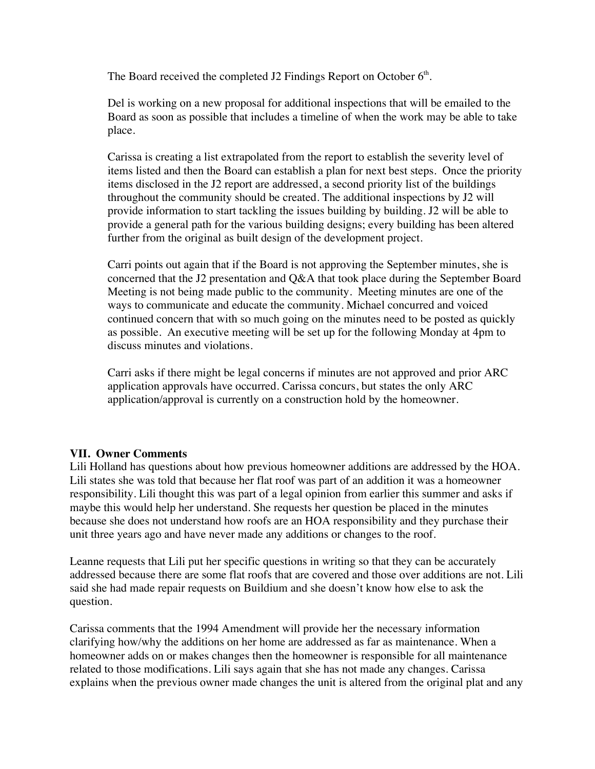The Board received the completed J2 Findings Report on October  $6<sup>th</sup>$ .

Del is working on a new proposal for additional inspections that will be emailed to the Board as soon as possible that includes a timeline of when the work may be able to take place.

Carissa is creating a list extrapolated from the report to establish the severity level of items listed and then the Board can establish a plan for next best steps. Once the priority items disclosed in the J2 report are addressed, a second priority list of the buildings throughout the community should be created. The additional inspections by J2 will provide information to start tackling the issues building by building. J2 will be able to provide a general path for the various building designs; every building has been altered further from the original as built design of the development project.

Carri points out again that if the Board is not approving the September minutes, she is concerned that the J2 presentation and Q&A that took place during the September Board Meeting is not being made public to the community. Meeting minutes are one of the ways to communicate and educate the community. Michael concurred and voiced continued concern that with so much going on the minutes need to be posted as quickly as possible. An executive meeting will be set up for the following Monday at 4pm to discuss minutes and violations.

Carri asks if there might be legal concerns if minutes are not approved and prior ARC application approvals have occurred. Carissa concurs, but states the only ARC application/approval is currently on a construction hold by the homeowner.

## **VII. Owner Comments**

Lili Holland has questions about how previous homeowner additions are addressed by the HOA. Lili states she was told that because her flat roof was part of an addition it was a homeowner responsibility. Lili thought this was part of a legal opinion from earlier this summer and asks if maybe this would help her understand. She requests her question be placed in the minutes because she does not understand how roofs are an HOA responsibility and they purchase their unit three years ago and have never made any additions or changes to the roof.

Leanne requests that Lili put her specific questions in writing so that they can be accurately addressed because there are some flat roofs that are covered and those over additions are not. Lili said she had made repair requests on Buildium and she doesn't know how else to ask the question.

Carissa comments that the 1994 Amendment will provide her the necessary information clarifying how/why the additions on her home are addressed as far as maintenance. When a homeowner adds on or makes changes then the homeowner is responsible for all maintenance related to those modifications. Lili says again that she has not made any changes. Carissa explains when the previous owner made changes the unit is altered from the original plat and any